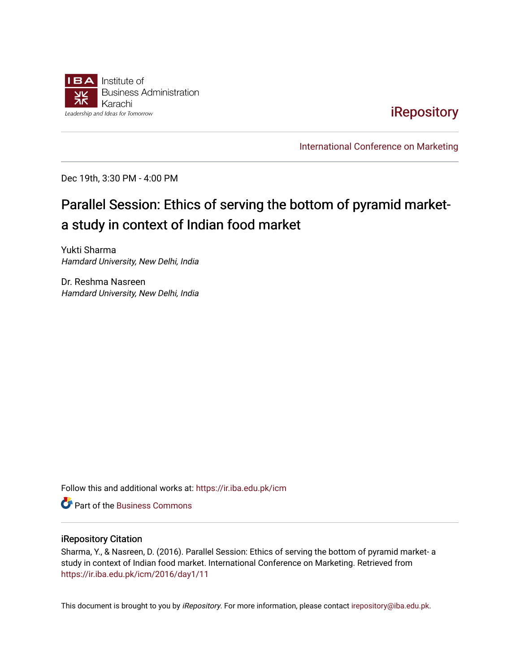

[iRepository](https://ir.iba.edu.pk/) 

[International Conference on Marketing](https://ir.iba.edu.pk/icm) 

Dec 19th, 3:30 PM - 4:00 PM

# Parallel Session: Ethics of serving the bottom of pyramid marketa study in context of Indian food market

Yukti Sharma Hamdard University, New Delhi, India

Dr. Reshma Nasreen Hamdard University, New Delhi, India

Follow this and additional works at: [https://ir.iba.edu.pk/icm](https://ir.iba.edu.pk/icm?utm_source=ir.iba.edu.pk%2Ficm%2F2016%2Fday1%2F11&utm_medium=PDF&utm_campaign=PDFCoverPages) 

**C** Part of the [Business Commons](http://network.bepress.com/hgg/discipline/622?utm_source=ir.iba.edu.pk%2Ficm%2F2016%2Fday1%2F11&utm_medium=PDF&utm_campaign=PDFCoverPages)

#### iRepository Citation

Sharma, Y., & Nasreen, D. (2016). Parallel Session: Ethics of serving the bottom of pyramid market- a study in context of Indian food market. International Conference on Marketing. Retrieved from [https://ir.iba.edu.pk/icm/2016/day1/11](https://ir.iba.edu.pk/icm/2016/day1/11?utm_source=ir.iba.edu.pk%2Ficm%2F2016%2Fday1%2F11&utm_medium=PDF&utm_campaign=PDFCoverPages)

This document is brought to you by iRepository. For more information, please contact [irepository@iba.edu.pk](mailto:irepository@iba.edu.pk).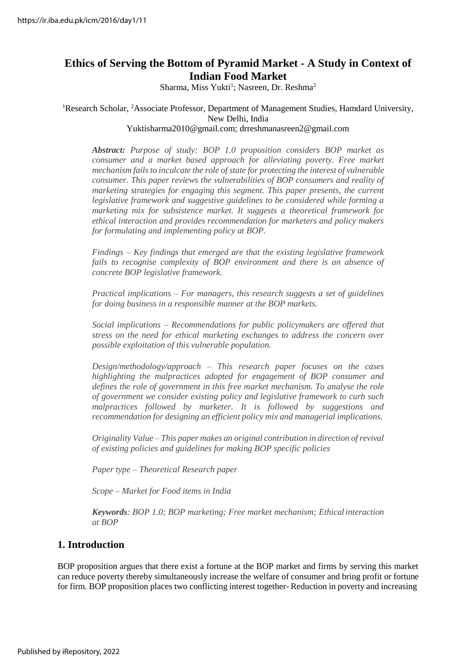# **Ethics of Serving the Bottom of Pyramid Market - A Study in Context of Indian Food Market**

Sharma, Miss Yukti<sup>1</sup>; Nasreen, Dr. Reshma<sup>2</sup>

# <sup>1</sup>Research Scholar, <sup>2</sup>Associate Professor, Department of Management Studies, Hamdard University, New Delhi, India

# Yuktisharma2010@gmail.com; [drreshmanasreen2@gmail.com](mailto:drreshmanasreen2@gmail.com)

*Abstract: Purpose of study: BOP 1.0 proposition considers BOP market as consumer and a market based approach for alleviating poverty. Free market mechanism fails to inculcate the role of state for protecting the interest of vulnerable consumer. This paper reviews the vulnerabilities of BOP consumers and reality of marketing strategies for engaging this segment. This paper presents, the current legislative framework and suggestive guidelines to be considered while forming a marketing mix for subsistence market. It suggests a theoretical framework for ethical interaction and provides recommendation for marketers and policy makers for formulating and implementing policy at BOP.*

*Findings – Key findings that emerged are that the existing legislative framework fails to recognise complexity of BOP environment and there is an absence of concrete BOP legislative framework.*

*Practical implications – For managers, this research suggests a set of guidelines for doing business in a responsible manner at the BOP markets.*

*Social implications – Recommendations for public policymakers are offered that stress on the need for ethical marketing exchanges to address the concern over possible exploitation of this vulnerable population.*

*Design/methodology/approach – This research paper focuses on the cases highlighting the malpractices adopted for engagement of BOP consumer and*  defines the role of government in this free market mechanism. To analyse the role *of government we consider existing policy and legislative framework to curb such malpractices followed by marketer. It is followed by suggestions and recommendation for designing an efficient policy mix and managerial implications.*

*Originality Value – This paper makes an original contribution in direction of revival of existing policies and guidelines for making BOP specific policies*

*Paper type – Theoretical Research paper* 

*Scope – Market for Food items in India*

*Keywords: BOP 1.0; BOP marketing; Free market mechanism; Ethicalinteraction at BOP*

# **1. Introduction**

BOP proposition argues that there exist a fortune at the BOP market and firms by serving this market can reduce poverty thereby simultaneously increase the welfare of consumer and bring profit or fortune for firm. BOP proposition places two conflicting interest together- Reduction in poverty and increasing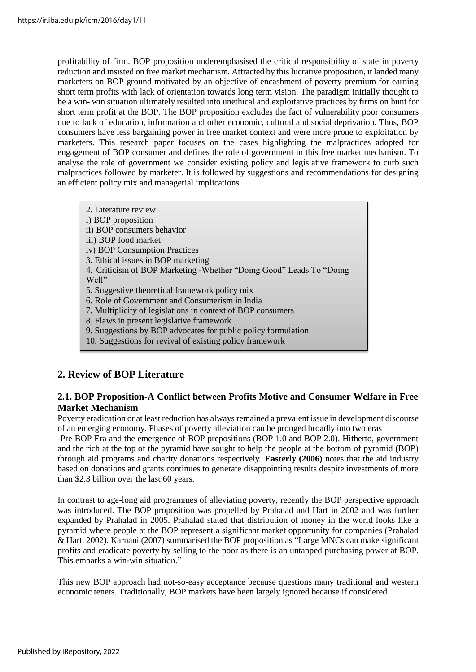profitability of firm. BOP proposition underemphasised the critical responsibility of state in poverty reduction and insisted on free market mechanism. Attracted by this lucrative proposition, it landed many marketers on BOP ground motivated by an objective of encashment of poverty premium for earning short term profits with lack of orientation towards long term vision. The paradigm initially thought to be a win- win situation ultimately resulted into unethical and exploitative practices by firms on hunt for short term profit at the BOP. The BOP proposition excludes the fact of vulnerability poor consumers due to lack of education, information and other economic, cultural and social deprivation. Thus, BOP consumers have less bargaining power in free market context and were more prone to exploitation by marketers. This research paper focuses on the cases highlighting the malpractices adopted for engagement of BOP consumer and defines the role of government in this free market mechanism. To analyse the role of government we consider existing policy and legislative framework to curb such malpractices followed by marketer. It is followed by suggestions and recommendations for designing an efficient policy mix and managerial implications.

2. Literature review i) BOP proposition ii) BOP consumers behavior iii) BOP food market iv) BOP Consumption Practices 3. Ethical issues in BOP marketing 4. Criticism of BOP Marketing -Whether "Doing Good" Leads To "Doing Well" 5. Suggestive theoretical framework policy mix 6. Role of Government and Consumerism in India 7. Multiplicity of legislations in context of BOP consumers 8. Flaws in present legislative framework

- 9. Suggestions by BOP advocates for public policy formulation
- 10. Suggestions for revival of existing policy framework

# **2. Review of BOP Literature**

# **2.1. BOP Proposition-A Conflict between Profits Motive and Consumer Welfare in Free Market Mechanism**

Poverty eradication or at least reduction has always remained a prevalent issue in development discourse of an emerging economy. Phases of poverty alleviation can be pronged broadly into two eras

-Pre BOP Era and the emergence of BOP prepositions (BOP 1.0 and BOP 2.0). Hitherto, government and the rich at the top of the pyramid have sought to help the people at the bottom of pyramid (BOP) through aid programs and charity donations respectively. **Easterly (2006)** notes that the aid industry based on donations and grants continues to generate disappointing results despite investments of more than \$2.3 billion over the last 60 years.

In contrast to age-long aid programmes of alleviating poverty, recently the BOP perspective approach was introduced. The BOP proposition was propelled by Prahalad and Hart in 2002 and was further expanded by Prahalad in 2005. Prahalad stated that distribution of money in the world looks like a pyramid where people at the BOP represent a significant market opportunity for companies (Prahalad & Hart, 2002). Karnani (2007) summarised the BOP proposition as "Large MNCs can make significant profits and eradicate poverty by selling to the poor as there is an untapped purchasing power at BOP. This embarks a win-win situation."

This new BOP approach had not-so-easy acceptance because questions many traditional and western economic tenets. Traditionally, BOP markets have been largely ignored because if considered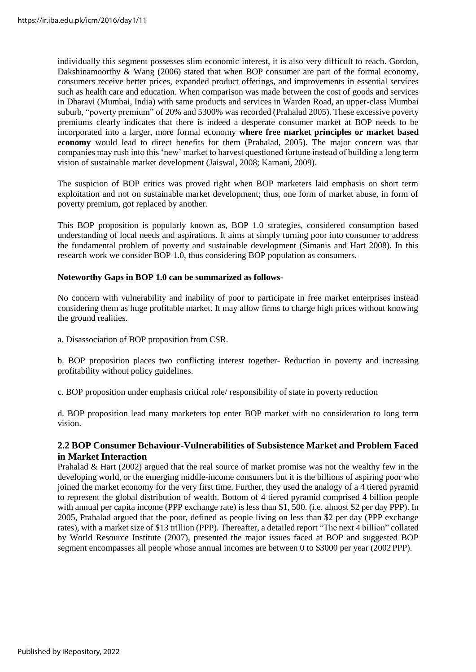individually this segment possesses slim economic interest, it is also very difficult to reach. Gordon, Dakshinamoorthy & Wang (2006) stated that when BOP consumer are part of the formal economy, consumers receive better prices, expanded product offerings, and improvements in essential services such as health care and education. When comparison was made between the cost of goods and services in Dharavi (Mumbai, India) with same products and services in Warden Road, an upper-class Mumbai suburb, "poverty premium" of 20% and 5300% was recorded (Prahalad 2005). These excessive poverty premiums clearly indicates that there is indeed a desperate consumer market at BOP needs to be incorporated into a larger, more formal economy **where free market principles or market based economy** would lead to direct benefits for them (Prahalad, 2005). The major concern was that companies may rush into this 'new' market to harvest questioned fortune instead of building a long term vision of sustainable market development (Jaiswal, 2008; Karnani, 2009).

The suspicion of BOP critics was proved right when BOP marketers laid emphasis on short term exploitation and not on sustainable market development; thus, one form of market abuse, in form of poverty premium, got replaced by another.

This BOP proposition is popularly known as, BOP 1.0 strategies, considered consumption based understanding of local needs and aspirations. It aims at simply turning poor into consumer to address the fundamental problem of poverty and sustainable development (Simanis and Hart 2008). In this research work we consider BOP 1.0, thus considering BOP population as consumers.

#### **Noteworthy Gaps in BOP 1.0 can be summarized as follows-**

No concern with vulnerability and inability of poor to participate in free market enterprises instead considering them as huge profitable market. It may allow firms to charge high prices without knowing the ground realities.

a. Disassociation of BOP proposition from CSR.

b. BOP proposition places two conflicting interest together- Reduction in poverty and increasing profitability without policy guidelines.

c. BOP proposition under emphasis critical role/ responsibility of state in poverty reduction

d. BOP proposition lead many marketers top enter BOP market with no consideration to long term vision.

#### **2.2 BOP Consumer Behaviour-Vulnerabilities of Subsistence Market and Problem Faced in Market Interaction**

Prahalad & Hart (2002) argued that the real source of market promise was not the wealthy few in the developing world, or the emerging middle-income consumers but it is the billions of aspiring poor who joined the market economy for the very first time. Further, they used the analogy of a 4 tiered pyramid to represent the global distribution of wealth. Bottom of 4 tiered pyramid comprised 4 billion people with annual per capita income (PPP exchange rate) is less than \$1, 500. (i.e. almost \$2 per day PPP). In 2005, Prahalad argued that the poor, defined as people living on less than \$2 per day (PPP exchange rates), with a market size of \$13 trillion (PPP). Thereafter, a detailed report "The next 4 billion" collated by World Resource Institute (2007), presented the major issues faced at BOP and suggested BOP segment encompasses all people whose annual incomes are between 0 to \$3000 per year (2002 PPP).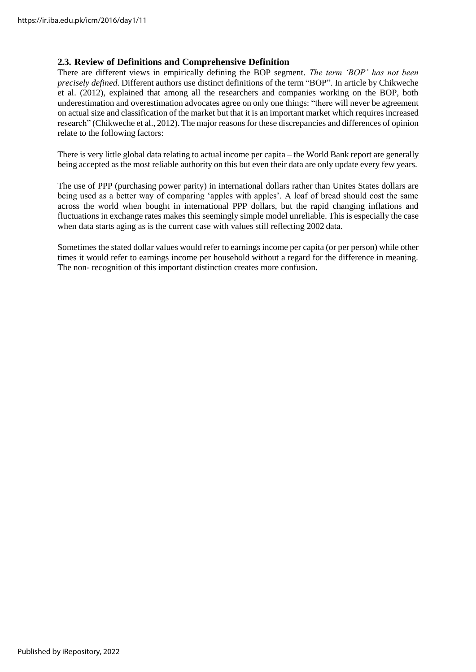## **2.3. Review of Definitions and Comprehensive Definition**

There are different views in empirically defining the BOP segment. *The term 'BOP' has not been precisely defined*. Different authors use distinct definitions of the term "BOP". In article by Chikweche et al. (2012), explained that among all the researchers and companies working on the BOP, both underestimation and overestimation advocates agree on only one things: "there will never be agreement on actual size and classification of the market but that it is an important market which requires increased research" (Chikweche et al., 2012). The major reasons for these discrepancies and differences of opinion relate to the following factors:

There is very little global data relating to actual income per capita – the World Bank report are generally being accepted as the most reliable authority on this but even their data are only update every few years.

The use of PPP (purchasing power parity) in international dollars rather than Unites States dollars are being used as a better way of comparing 'apples with apples'. A loaf of bread should cost the same across the world when bought in international PPP dollars, but the rapid changing inflations and fluctuations in exchange rates makes this seemingly simple model unreliable. This is especially the case when data starts aging as is the current case with values still reflecting 2002 data.

Sometimes the stated dollar values would refer to earnings income per capita (or per person) while other times it would refer to earnings income per household without a regard for the difference in meaning. The non- recognition of this important distinction creates more confusion.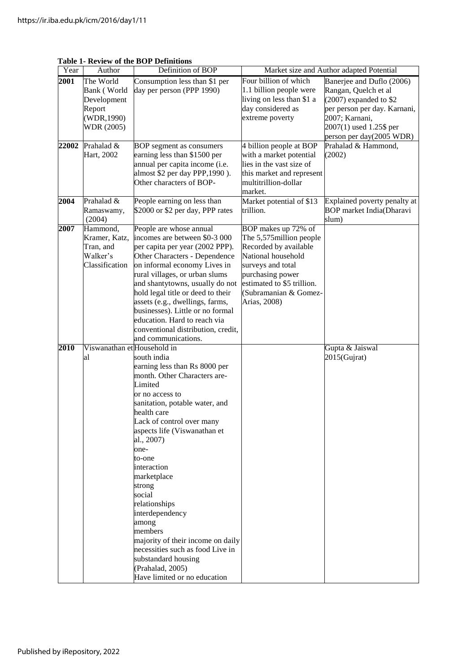**Table 1- Review of the BOP Definitions**

| Year  | Author                      | Definition of BOP                                             | Market size and Author adapted Potential |                                 |  |
|-------|-----------------------------|---------------------------------------------------------------|------------------------------------------|---------------------------------|--|
| 2001  | The World                   | Consumption less than \$1 per                                 | Four billion of which                    | Banerjee and Duflo (2006)       |  |
|       | Bank (World                 | day per person (PPP 1990)                                     | 1.1 billion people were                  | Rangan, Quelch et al            |  |
|       | Development                 |                                                               | living on less than \$1 a                | $(2007)$ expanded to \$2        |  |
|       | Report                      |                                                               | day considered as                        | per person per day. Karnani,    |  |
|       | (WDR, 1990)                 |                                                               | extreme poverty                          | 2007; Karnani,                  |  |
|       | WDR (2005)                  |                                                               |                                          | 2007(1) used 1.25\$ per         |  |
|       |                             |                                                               |                                          | person per day(2005 WDR)        |  |
| 22002 | Prahalad &                  | BOP segment as consumers                                      | 4 billion people at BOP                  | Prahalad & Hammond,             |  |
|       | Hart, 2002                  | earning less than \$1500 per                                  | with a market potential                  | (2002)                          |  |
|       |                             | annual per capita income (i.e.                                | lies in the vast size of                 |                                 |  |
|       |                             | almost \$2 per day PPP,1990).                                 | this market and represent                |                                 |  |
|       |                             | Other characters of BOP-                                      | multitrillion-dollar                     |                                 |  |
|       |                             |                                                               | market.                                  |                                 |  |
| 2004  | Prahalad &                  | People earning on less than                                   | Market potential of \$13                 | Explained poverty penalty at    |  |
|       | Ramaswamy,                  | \$2000 or \$2 per day, PPP rates                              | trillion.                                | <b>BOP</b> market India(Dharavi |  |
|       | (2004)                      |                                                               |                                          | slum)                           |  |
| 2007  | Hammond,                    | People are whose annual                                       | BOP makes up 72% of                      |                                 |  |
|       | Kramer, Katz,               | incomes are between \$0-3 000                                 | The 5,575 million people                 |                                 |  |
|       | Tran, and                   | per capita per year (2002 PPP).                               | Recorded by available                    |                                 |  |
|       | Walker's                    | Other Characters - Dependence                                 | National household                       |                                 |  |
|       | Classification              | on informal economy Lives in                                  | surveys and total                        |                                 |  |
|       |                             | rural villages, or urban slums                                | purchasing power                         |                                 |  |
|       |                             | and shantytowns, usually do not                               | estimated to \$5 trillion.               |                                 |  |
|       |                             | hold legal title or deed to their                             | (Subramanian & Gomez-                    |                                 |  |
|       |                             | assets (e.g., dwellings, farms,                               | Arias, 2008)                             |                                 |  |
|       |                             | businesses). Little or no formal                              |                                          |                                 |  |
|       |                             | education. Hard to reach via                                  |                                          |                                 |  |
|       |                             | conventional distribution, credit,                            |                                          |                                 |  |
|       |                             | and communications.                                           |                                          |                                 |  |
| 2010  | Viswanathan et Household in |                                                               |                                          | Gupta & Jaiswal                 |  |
|       | al                          | south india                                                   |                                          | 2015(Gujrat)                    |  |
|       |                             | earning less than Rs 8000 per<br>month. Other Characters are- |                                          |                                 |  |
|       |                             | Limited                                                       |                                          |                                 |  |
|       |                             |                                                               |                                          |                                 |  |
|       |                             | or no access to<br>sanitation, potable water, and             |                                          |                                 |  |
|       |                             | health care                                                   |                                          |                                 |  |
|       |                             | Lack of control over many                                     |                                          |                                 |  |
|       |                             | aspects life (Viswanathan et                                  |                                          |                                 |  |
|       |                             | al., 2007)                                                    |                                          |                                 |  |
|       |                             | one-                                                          |                                          |                                 |  |
|       |                             | to-one                                                        |                                          |                                 |  |
|       |                             | interaction                                                   |                                          |                                 |  |
|       |                             | marketplace                                                   |                                          |                                 |  |
|       |                             | strong                                                        |                                          |                                 |  |
|       |                             | social                                                        |                                          |                                 |  |
|       |                             | relationships                                                 |                                          |                                 |  |
|       |                             | interdependency                                               |                                          |                                 |  |
|       |                             | among                                                         |                                          |                                 |  |
|       |                             | members                                                       |                                          |                                 |  |
|       |                             | majority of their income on daily                             |                                          |                                 |  |
|       |                             | necessities such as food Live in                              |                                          |                                 |  |
|       |                             | substandard housing                                           |                                          |                                 |  |
|       |                             | (Prahalad, 2005)                                              |                                          |                                 |  |
|       |                             | Have limited or no education                                  |                                          |                                 |  |
|       |                             |                                                               |                                          |                                 |  |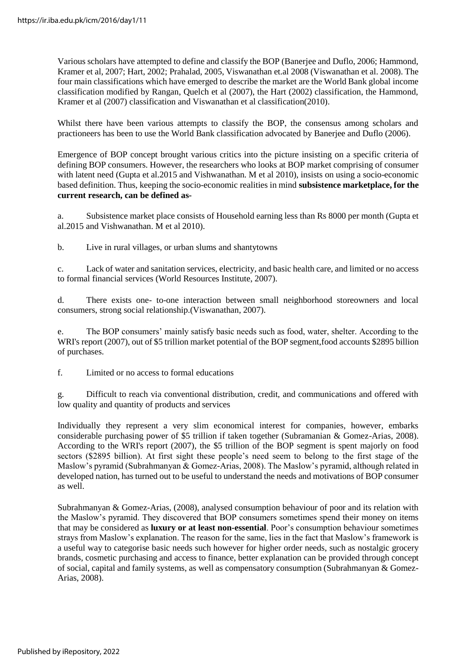Various scholars have attempted to define and classify the BOP (Banerjee and Duflo, 2006; Hammond, Kramer et al, 2007; Hart, 2002; Prahalad, 2005, Viswanathan et.al 2008 (Viswanathan et al. 2008). The four main classifications which have emerged to describe the market are the World Bank global income classification modified by Rangan, Quelch et al (2007), the Hart (2002) classification, the Hammond, Kramer et al (2007) classification and Viswanathan et al classification(2010).

Whilst there have been various attempts to classify the BOP, the consensus among scholars and practioneers has been to use the World Bank classification advocated by Banerjee and Duflo (2006).

Emergence of BOP concept brought various critics into the picture insisting on a specific criteria of defining BOP consumers. However, the researchers who looks at BOP market comprising of consumer with latent need (Gupta et al.2015 and Vishwanathan. M et al 2010), insists on using a socio-economic based definition. Thus, keeping the socio-economic realities in mind **subsistence marketplace, for the current research, can be defined as-**

a. Subsistence market place consists of Household earning less than Rs 8000 per month (Gupta et al.2015 and Vishwanathan. M et al 2010).

b. Live in rural villages, or urban slums and shantytowns

c. Lack of water and sanitation services, electricity, and basic health care, and limited or no access to formal financial services (World Resources Institute, 2007).

d. There exists one- to-one interaction between small neighborhood storeowners and local consumers, strong social relationship.(Viswanathan, 2007).

e. The BOP consumers' mainly satisfy basic needs such as food, water, shelter. According to the WRI's report (2007), out of \$5 trillion market potential of the BOP segment,food accounts \$2895 billion of purchases.

f. Limited or no access to formal educations

g. Difficult to reach via conventional distribution, credit, and communications and offered with low quality and quantity of products and services

Individually they represent a very slim economical interest for companies, however, embarks considerable purchasing power of \$5 trillion if taken together (Subramanian & Gomez-Arias, 2008). According to the WRI's report (2007), the \$5 trillion of the BOP segment is spent majorly on food sectors (\$2895 billion). At first sight these people's need seem to belong to the first stage of the Maslow's pyramid (Subrahmanyan & Gomez-Arias, 2008). The Maslow's pyramid, although related in developed nation, has turned out to be useful to understand the needs and motivations of BOP consumer as well.

Subrahmanyan & Gomez-Arias, (2008), analysed consumption behaviour of poor and its relation with the Maslow's pyramid. They discovered that BOP consumers sometimes spend their money on items that may be considered as **luxury or at least non-essential**. Poor's consumption behaviour sometimes strays from Maslow's explanation. The reason for the same, lies in the fact that Maslow's framework is a useful way to categorise basic needs such however for higher order needs, such as nostalgic grocery brands, cosmetic purchasing and access to finance, better explanation can be provided through concept of social, capital and family systems, as well as compensatory consumption (Subrahmanyan & Gomez-Arias, 2008).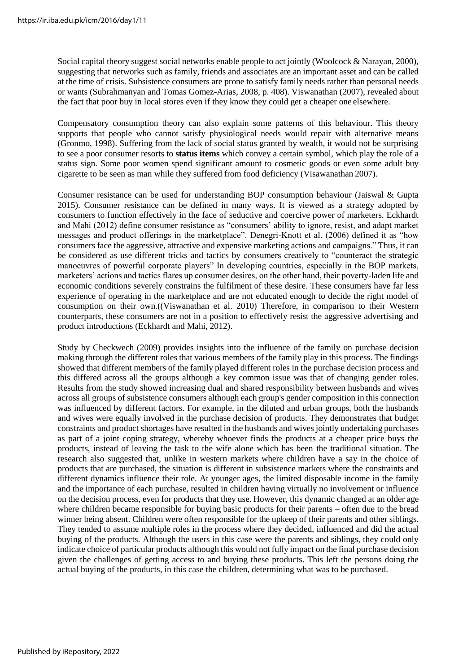Social capital theory suggest social networks enable people to act jointly (Woolcock & Narayan, 2000), suggesting that networks such as family, friends and associates are an important asset and can be called at the time of crisis. Subsistence consumers are prone to satisfy family needs rather than personal needs or wants (Subrahmanyan and Tomas Gomez-Arias, 2008, p. 408). Viswanathan (2007), revealed about the fact that poor buy in local stores even if they know they could get a cheaper one elsewhere.

Compensatory consumption theory can also explain some patterns of this behaviour. This theory supports that people who cannot satisfy physiological needs would repair with alternative means (Gronmo, 1998). Suffering from the lack of social status granted by wealth, it would not be surprising to see a poor consumer resorts to **status items** which convey a certain symbol, which play the role of a status sign. Some poor women spend significant amount to cosmetic goods or even some adult buy cigarette to be seen as man while they suffered from food deficiency (Visawanathan 2007).

Consumer resistance can be used for understanding BOP consumption behaviour (Jaiswal & Gupta 2015). Consumer resistance can be defined in many ways. It is viewed as a strategy adopted by consumers to function effectively in the face of seductive and coercive power of marketers. Eckhardt and Mahi (2012) define consumer resistance as "consumers' ability to ignore, resist, and adapt market messages and product offerings in the marketplace". Denegri-Knott et al. (2006) defined it as "how consumers face the aggressive, attractive and expensive marketing actions and campaigns." Thus, it can be considered as use different tricks and tactics by consumers creatively to "counteract the strategic manoeuvres of powerful corporate players" In developing countries, especially in the BOP markets, marketers' actions and tactics flares up consumer desires, on the other hand, their poverty-laden life and economic conditions severely constrains the fulfilment of these desire. These consumers have far less experience of operating in the marketplace and are not educated enough to decide the right model of consumption on their own.((Viswanathan et al. 2010) Therefore, in comparison to their Western counterparts, these consumers are not in a position to effectively resist the aggressive advertising and product introductions (Eckhardt and Mahi, 2012).

Study by Checkwech (2009) provides insights into the influence of the family on purchase decision making through the different roles that various members of the family play in this process. The findings showed that different members of the family played different roles in the purchase decision process and this differed across all the groups although a key common issue was that of changing gender roles. Results from the study showed increasing dual and shared responsibility between husbands and wives across all groups of subsistence consumers although each group's gender composition in this connection was influenced by different factors. For example, in the diluted and urban groups, both the husbands and wives were equally involved in the purchase decision of products. They demonstrates that budget constraints and product shortages have resulted in the husbands and wivesjointly undertaking purchases as part of a joint coping strategy, whereby whoever finds the products at a cheaper price buys the products, instead of leaving the task to the wife alone which has been the traditional situation. The research also suggested that, unlike in western markets where children have a say in the choice of products that are purchased, the situation is different in subsistence markets where the constraints and different dynamics influence their role. At younger ages, the limited disposable income in the family and the importance of each purchase, resulted in children having virtually no involvement or influence on the decision process, even for products that they use. However, this dynamic changed at an older age where children became responsible for buying basic products for their parents – often due to the bread winner being absent. Children were often responsible for the upkeep of their parents and other siblings. They tended to assume multiple roles in the process where they decided, influenced and did the actual buying of the products. Although the users in this case were the parents and siblings, they could only indicate choice of particular products although this would not fully impact on the final purchase decision given the challenges of getting access to and buying these products. This left the persons doing the actual buying of the products, in this case the children, determining what was to be purchased.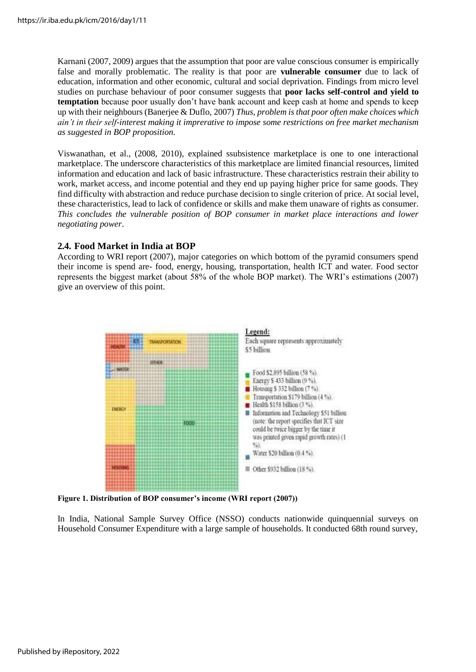Karnani (2007, 2009) argues that the assumption that poor are value conscious consumer is empirically false and morally problematic. The reality is that poor are **vulnerable consumer** due to lack of education, information and other economic, cultural and social deprivation. Findings from micro level studies on purchase behaviour of poor consumer suggests that **poor lacks self-control and yield to temptation** because poor usually don't have bank account and keep cash at home and spends to keep up with their neighbours (Banerjee & Duflo, 2007) *Thus, problem is that poor often make choices which ain't in their self-interest making it imprerative to impose some restrictions on free market mechanism as suggested in BOP proposition.*

Viswanathan, et al., (2008, 2010), explained ssubsistence marketplace is one to one interactional marketplace. The underscore characteristics of this marketplace are limited financial resources, limited information and education and lack of basic infrastructure. These characteristics restrain their ability to work, market access, and income potential and they end up paying higher price for same goods. They find difficulty with abstraction and reduce purchase decision to single criterion of price. At social level, these characteristics, lead to lack of confidence or skills and make them unaware of rights as consumer. *This concludes the vulnerable position of BOP consumer in market place interactions and lower negotiating power*.

# **2.4. Food Market in India at BOP**

According to WRI report (2007), major categories on which bottom of the pyramid consumers spend their income is spend are- food, energy, housing, transportation, health ICT and water. Food sector represents the biggest market (about 58% of the whole BOP market). The WRI's estimations (2007) give an overview of this point.



**Figure 1. Distribution of BOP consumer's income (WRI report (2007))**

In India, National Sample Survey Office (NSSO) conducts nationwide quinquennial surveys on Household Consumer Expenditure with a large sample of households. It conducted 68th round survey,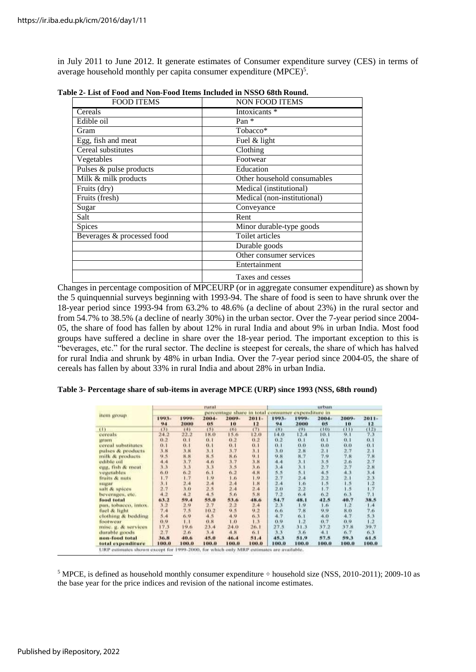in July 2011 to June 2012. It generate estimates of Consumer expenditure survey (CES) in terms of average household monthly per capita consumer expenditure (MPCE)<sup>5</sup>.

| <b>FOOD ITEMS</b>          | NON FOOD ITEMS              |  |  |  |  |
|----------------------------|-----------------------------|--|--|--|--|
| Cereals                    | Intoxicants *               |  |  |  |  |
| Edible oil                 | Pan $*$                     |  |  |  |  |
| Gram                       | Tobacco*                    |  |  |  |  |
| Egg, fish and meat         | Fuel & light                |  |  |  |  |
| Cereal substitutes         | Clothing                    |  |  |  |  |
| Vegetables                 | Footwear                    |  |  |  |  |
| Pulses & pulse products    | Education                   |  |  |  |  |
| Milk & milk products       | Other household consumables |  |  |  |  |
| Fruits (dry)               | Medical (institutional)     |  |  |  |  |
| Fruits (fresh)             | Medical (non-institutional) |  |  |  |  |
| Sugar                      | Conveyance                  |  |  |  |  |
| Salt                       | Rent                        |  |  |  |  |
| Spices                     | Minor durable-type goods    |  |  |  |  |
| Beverages & processed food | Toilet articles             |  |  |  |  |
|                            | Durable goods               |  |  |  |  |
|                            | Other consumer services     |  |  |  |  |
|                            | Entertainment               |  |  |  |  |
|                            | Taxes and cesses            |  |  |  |  |

**Table 2- List of Food and Non-Food Items Included in NSSO 68th Round.**

Changes in percentage composition of MPCEURP (or in aggregate consumer expenditure) as shown by the 5 quinquennial surveys beginning with 1993-94. The share of food is seen to have shrunk over the 18-year period since 1993-94 from 63.2% to 48.6% (a decline of about 23%) in the rural sector and from 54.7% to 38.5% (a decline of nearly 30%) in the urban sector. Over the 7-year period since 2004- 05, the share of food has fallen by about 12% in rural India and about 9% in urban India. Most food groups have suffered a decline in share over the 18-year period. The important exception to this is "beverages, etc." for the rural sector. The decline is steepest for cereals, the share of which has halved for rural India and shrunk by 48% in urban India. Over the 7-year period since 2004-05, the share of cereals has fallen by about 33% in rural India and about 28% in urban India.

#### **Table 3- Percentage share of sub-items in average MPCE (URP) since 1993 (NSS, 68th round)**

|                      | <i><b>FLITTI</b></i>                              |               |                |             | urban                |              |               |                |             |                |
|----------------------|---------------------------------------------------|---------------|----------------|-------------|----------------------|--------------|---------------|----------------|-------------|----------------|
|                      | percentage share in total consumer expenditure in |               |                |             |                      |              |               |                |             |                |
| item group           | 1993-<br>0.4                                      | 1999.<br>2000 | $2004 -$<br>05 | 2009-<br>10 | $2011 -$<br>12       | 1993-<br>0.4 | 1999-<br>2000 | $2004 -$<br>05 | 2009-<br>10 | $2011 -$<br>12 |
| (1)                  | (1)                                               | (4)           | (5)            | (6)         | (7)                  | (8)          | (9)           | (10)           | (11)        | (12)           |
| cereats              | 24.2                                              | 22.2          | 18.0           | 15.6        | 12.0                 | (4.0)        | 12.4          | 10.1           | 9.1         | 7.3            |
| игант                | 0.2                                               | 0.1           | 0.1            | 0.2         | 0.2                  | 0.2          | 0.1           | 0.1            | 0.1         | 0.1            |
| cereal substitutes   | 0.1                                               | 0.1           | 0.1            | 0.1         | 0.1                  | 0.1          | 0.0           | 0.0            | 0.0         | 0,1            |
| pulses & products    | 3.8                                               | 3,8           | 3.1            | 1,7         | $\mathbf{X}$ , 1     | 3.0          |               |                |             | 2,1            |
| milk & products      | 9.5                                               | 8.8           | 8.5            | N.6         | 0.1                  | 9.8          |               |                |             | 7.8            |
| edible cil           | 4.4                                               | 3.7           | 4.6            | 3.7         | 3. N                 | 4.4          |               |                |             |                |
| egg. fish & meat     | 3.3                                               | 3.3           | 3.3            | 3.5         | $\lambda$ , $\alpha$ | $_{3,4}$     |               |                |             |                |
| vegenables           | 6.0                                               | 6.2           | 6.1            | 6.2         | 4.8                  | 5.5          |               |                |             |                |
| fruits & nuts        | 1.7                                               | 1.7           | 1.9            | 1, 6        | 1.9                  |              |               |                |             |                |
| <b>BUILDERS</b>      |                                                   | 2.4           | 2,4            | 2,4         | 1.8                  |              | L O           |                |             |                |
| salt & spices        |                                                   | 3.0           | 2.5            | 2.4         | м                    | ю            |               |                |             |                |
| beverages, etc.      |                                                   | 4.2           |                | 5.6         | м                    | 7.2          | 6.4           |                | 0.3         |                |
| food total           | 63.2                                              | 59.4          | 55.0           | 53.6        | 48.6                 | 54.7         | 48.1          | 42.6           | 40.7        | 38.5           |
| pan, tobacco, intox. | 3,2                                               | 2,0           | 2.7            | 2.2         | 2.4                  | 2.3          | 1.9           | 1.6            |             | 1,4            |
| fuel & light         | 7.4                                               | 7.5           | 10.2           | 0.5         | 9.2                  | $F_1, F_2$   | 7.8           | 9.9            | 8.0         | 7.6            |
| clothing & bedding   | 5.4                                               | 6.9           | 4.5            | 4,9         | 6.3                  | 4.7          | 6.1           | 4.0            |             | 5.3            |
| footwear             | 0, 0                                              | 1.1           | 0.8            | 1, 0        | 1.3                  | O, O         |               | o.             | 0,9         |                |
| misc. g. & services  | 17.3                                              | 19.6          | 23,4           | 24.0        | 26.1                 | 27.5         | 31.3          | 37.2           | 37.8        | 39.7           |
| durable goods        |                                                   | 2.6           | 3.4            | 4.8         | 6.1                  | 3.3          | 3.6           |                | 6.7         | 6.3            |
| non-food total       | 36.8                                              | 40.6          | 45.0           | 46.4        | 51.4                 | 45.3         | 51.9          | 57.5           | 59.3        | 61.5           |
| total expenditure    | 100.0                                             | 100.0         | 100.0          | 100.0       | 100.0                | 100.0        | 100.0         | 100.0          | 100.0       | 100.0          |

URP estimates shown except for 1999-2000, for which only MRP estimates are available.

<sup>5</sup> MPCE, is defined as household monthly consumer expenditure  $\div$  household size (NSS, 2010-2011); 2009-10 as the base year for the price indices and revision of the national income estimates.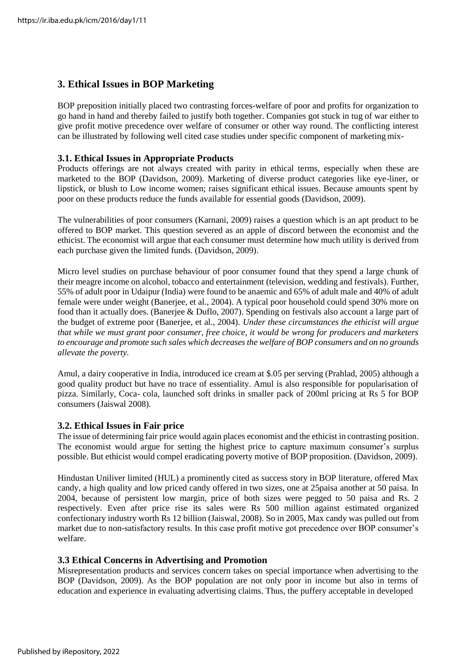# **3. Ethical Issues in BOP Marketing**

BOP preposition initially placed two contrasting forces-welfare of poor and profits for organization to go hand in hand and thereby failed to justify both together. Companies got stuck in tug of war either to give profit motive precedence over welfare of consumer or other way round. The conflicting interest can be illustrated by following well cited case studies under specific component of marketing mix-

#### **3.1. Ethical Issues in Appropriate Products**

Products offerings are not always created with parity in ethical terms, especially when these are marketed to the BOP (Davidson, 2009). Marketing of diverse product categories like eye-liner, or lipstick, or blush to Low income women; raises significant ethical issues. Because amounts spent by poor on these products reduce the funds available for essential goods (Davidson, 2009).

The vulnerabilities of poor consumers (Karnani, 2009) raises a question which is an apt product to be offered to BOP market. This question severed as an apple of discord between the economist and the ethicist. The economist will argue that each consumer must determine how much utility is derived from each purchase given the limited funds. (Davidson, 2009).

Micro level studies on purchase behaviour of poor consumer found that they spend a large chunk of their meagre income on alcohol, tobacco and entertainment (television, wedding and festivals). Further, 55% of adult poor in Udaipur (India) were found to be anaemic and 65% of adult male and 40% of adult female were under weight (Banerjee, et al., 2004). A typical poor household could spend 30% more on food than it actually does. (Banerjee & Duflo, 2007). Spending on festivals also account a large part of the budget of extreme poor (Banerjee, et al., 2004). *Under these circumstances the ethicist will argue that while we must grant poor consumer, free choice, it would be wrong for producers and marketers to encourage and promote such sales which decreasesthe welfare of BOP consumers and on no grounds allevate the poverty.*

Amul, a dairy cooperative in India, introduced ice cream at \$.05 per serving (Prahlad, 2005) although a good quality product but have no trace of essentiality. Amul is also responsible for popularisation of pizza. Similarly, Coca- cola, launched soft drinks in smaller pack of 200ml pricing at Rs 5 for BOP consumers (Jaiswal 2008).

#### **3.2. Ethical Issues in Fair price**

The issue of determining fair price would again places economist and the ethicist in contrasting position. The economist would argue for setting the highest price to capture maximum consumer's surplus possible. But ethicist would compel eradicating poverty motive of BOP proposition. (Davidson, 2009).

Hindustan Uniliver limited (HUL) a prominently cited as success story in BOP literature, offered Max candy, a high quality and low priced candy offered in two sizes, one at 25paisa another at 50 paisa. In 2004, because of persistent low margin, price of both sizes were pegged to 50 paisa and Rs. 2 respectively. Even after price rise its sales were Rs 500 million against estimated organized confectionary industry worth Rs 12 billion (Jaiswal, 2008). So in 2005, Max candy was pulled out from market due to non-satisfactory results. In this case profit motive got precedence over BOP consumer's welfare.

#### **3.3 Ethical Concerns in Advertising and Promotion**

Misrepresentation products and services concern takes on special importance when advertising to the BOP (Davidson, 2009). As the BOP population are not only poor in income but also in terms of education and experience in evaluating advertising claims. Thus, the puffery acceptable in developed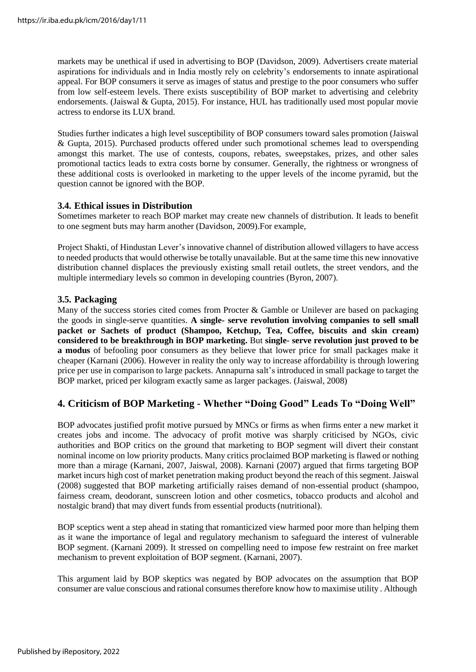markets may be unethical if used in advertising to BOP (Davidson, 2009). Advertisers create material aspirations for individuals and in India mostly rely on celebrity's endorsements to innate aspirational appeal. For BOP consumers it serve as images of status and prestige to the poor consumers who suffer from low self-esteem levels. There exists susceptibility of BOP market to advertising and celebrity endorsements. (Jaiswal & Gupta, 2015). For instance, HUL has traditionally used most popular movie actress to endorse its LUX brand.

Studies further indicates a high level susceptibility of BOP consumers toward sales promotion (Jaiswal & Gupta, 2015). Purchased products offered under such promotional schemes lead to overspending amongst this market. The use of contests, coupons, rebates, sweepstakes, prizes, and other sales promotional tactics leads to extra costs borne by consumer. Generally, the rightness or wrongness of these additional costs is overlooked in marketing to the upper levels of the income pyramid, but the question cannot be ignored with the BOP.

# **3.4. Ethical issues in Distribution**

Sometimes marketer to reach BOP market may create new channels of distribution. It leads to benefit to one segment buts may harm another (Davidson, 2009).For example,

Project Shakti, of Hindustan Lever's innovative channel of distribution allowed villagers to have access to needed products that would otherwise be totally unavailable. But at the same time this new innovative distribution channel displaces the previously existing small retail outlets, the street vendors, and the multiple intermediary levels so common in developing countries (Byron, 2007).

# **3.5. Packaging**

Many of the success stories cited comes from Procter & Gamble or Unilever are based on packaging the goods in single-serve quantities. **A single- serve revolution involving companies to sell small packet or Sachets of product (Shampoo, Ketchup, Tea, Coffee, biscuits and skin cream) considered to be breakthrough in BOP marketing.** But **single- serve revolution just proved to be a modus** of befooling poor consumers as they believe that lower price for small packages make it cheaper (Karnani (2006). However in reality the only way to increase affordability is through lowering price per use in comparison to large packets. Annapurna salt's introduced in small package to target the BOP market, priced per kilogram exactly same as larger packages. (Jaiswal, 2008)

# **4. Criticism of BOP Marketing - Whether "Doing Good" Leads To "Doing Well"**

BOP advocates justified profit motive pursued by MNCs or firms as when firms enter a new market it creates jobs and income. The advocacy of profit motive was sharply criticised by NGOs, civic authorities and BOP critics on the ground that marketing to BOP segment will divert their constant nominal income on low priority products. Many critics proclaimed BOP marketing is flawed or nothing more than a mirage (Karnani, 2007, Jaiswal, 2008). Karnani (2007) argued that firms targeting BOP market incurs high cost of market penetration making product beyond the reach of this segment. Jaiswal (2008) suggested that BOP marketing artificially raises demand of non-essential product (shampoo, fairness cream, deodorant, sunscreen lotion and other cosmetics, tobacco products and alcohol and nostalgic brand) that may divert funds from essential products(nutritional).

BOP sceptics went a step ahead in stating that romanticized view harmed poor more than helping them as it wane the importance of legal and regulatory mechanism to safeguard the interest of vulnerable BOP segment. (Karnani 2009). It stressed on compelling need to impose few restraint on free market mechanism to prevent exploitation of BOP segment. (Karnani, 2007).

This argument laid by BOP skeptics was negated by BOP advocates on the assumption that BOP consumer are value conscious and rational consumes therefore know how to maximise utility . Although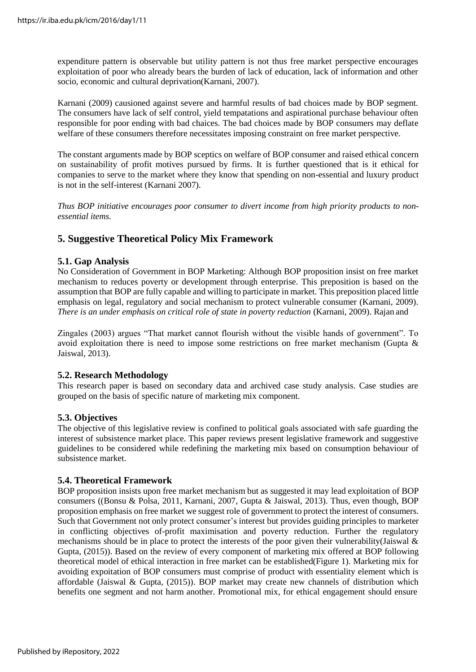expenditure pattern is observable but utility pattern is not thus free market perspective encourages exploitation of poor who already bears the burden of lack of education, lack of information and other socio, economic and cultural deprivation(Karnani, 2007).

Karnani (2009) causioned against severe and harmful results of bad choices made by BOP segment. The consumers have lack of self control, yield tempatations and aspirational purchase behaviour often responsible for poor ending with bad chaices. The bad choices made by BOP consumers may deflate welfare of these consumers therefore necessitates imposing constraint on free market perspective.

The constant arguments made by BOP sceptics on welfare of BOP consumer and raised ethical concern on sustainability of profit motives pursued by firms. It is further questioned that is it ethical for companies to serve to the market where they know that spending on non-essential and luxury product is not in the self-interest (Karnani 2007).

*Thus BOP initiative encourages poor consumer to divert income from high priority products to nonessential items.*

# **5. Suggestive Theoretical Policy Mix Framework**

#### **5.1. Gap Analysis**

No Consideration of Government in BOP Marketing: Although BOP proposition insist on free market mechanism to reduces poverty or development through enterprise. This preposition is based on the assumption that BOP are fully capable and willing to participate in market. This preposition placed little emphasis on legal, regulatory and social mechanism to protect vulnerable consumer (Karnani, 2009). *There is an under emphasis on critical role of state in poverty reduction* (Karnani, 2009). Rajan and

Zingales (2003) argues "That market cannot flourish without the visible hands of government". To avoid exploitation there is need to impose some restrictions on free market mechanism (Gupta & Jaiswal, 2013).

# **5.2. Research Methodology**

This research paper is based on secondary data and archived case study analysis. Case studies are grouped on the basis of specific nature of marketing mix component.

#### **5.3. Objectives**

The objective of this legislative review is confined to political goals associated with safe guarding the interest of subsistence market place. This paper reviews present legislative framework and suggestive guidelines to be considered while redefining the marketing mix based on consumption behaviour of subsistence market.

#### **5.4. Theoretical Framework**

BOP proposition insists upon free market mechanism but as suggested it may lead exploitation of BOP consumers ((Bonsu & Polsa, 2011, Karnani, 2007, Gupta & Jaiswal, 2013). Thus, even though, BOP proposition emphasis on free market we suggest role of government to protect the interest of consumers. Such that Government not only protect consumer's interest but provides guiding principles to marketer in conflicting objectives of-profit maximisation and poverty reduction. Further the regulatory mechanisms should be in place to protect the interests of the poor given their vulnerability(Jaiswal & Gupta, (2015)). Based on the review of every component of marketing mix offered at BOP following theoretical model of ethical interaction in free market can be established(Figure 1). Marketing mix for avoiding expoitation of BOP consumers must comprise of product with essentiality element which is affordable (Jaiswal & Gupta,  $(2015)$ ). BOP market may create new channels of distribution which benefits one segment and not harm another. Promotional mix, for ethical engagement should ensure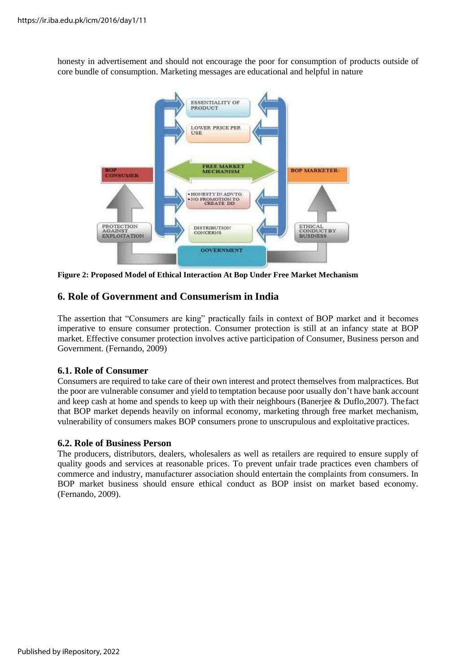honesty in advertisement and should not encourage the poor for consumption of products outside of core bundle of consumption. Marketing messages are educational and helpful in nature



**Figure 2: Proposed Model of Ethical Interaction At Bop Under Free Market Mechanism**

# **6. Role of Government and Consumerism in India**

The assertion that "Consumers are king" practically fails in context of BOP market and it becomes imperative to ensure consumer protection. Consumer protection is still at an infancy state at BOP market. Effective consumer protection involves active participation of Consumer, Business person and Government. (Fernando, 2009)

#### **6.1. Role of Consumer**

Consumers are required to take care of their own interest and protect themselves from malpractices. But the poor are vulnerable consumer and yield to temptation because poor usually don't have bank account and keep cash at home and spends to keep up with their neighbours (Banerjee & Duflo,2007). Thefact that BOP market depends heavily on informal economy, marketing through free market mechanism, vulnerability of consumers makes BOP consumers prone to unscrupulous and exploitative practices.

#### **6.2. Role of Business Person**

The producers, distributors, dealers, wholesalers as well as retailers are required to ensure supply of quality goods and services at reasonable prices. To prevent unfair trade practices even chambers of commerce and industry, manufacturer association should entertain the complaints from consumers. In BOP market business should ensure ethical conduct as BOP insist on market based economy. (Fernando, 2009).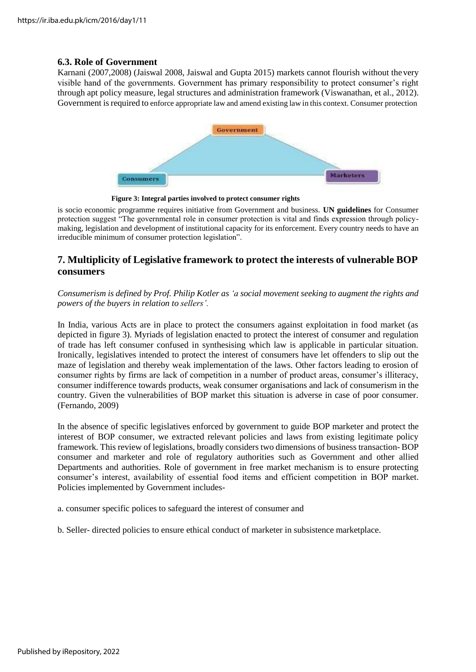#### **6.3. Role of Government**

Karnani (2007,2008) (Jaiswal 2008, Jaiswal and Gupta 2015) markets cannot flourish without thevery visible hand of the governments. Government has primary responsibility to protect consumer's right through apt policy measure, legal structures and administration framework (Viswanathan, et al., 2012). Government is required to enforce appropriate law and amend existing law in this context. Consumer protection



**Figure 3: Integral parties involved to protect consumer rights**

is socio economic programme requires initiative from Government and business. **UN guidelines** for Consumer protection suggest "The governmental role in consumer protection is vital and finds expression through policymaking, legislation and development of institutional capacity for its enforcement. Every country needs to have an irreducible minimum of consumer protection legislation".

# **7. Multiplicity of Legislative framework to protect the interests of vulnerable BOP consumers**

*Consumerism is defined by Prof. Philip Kotler as 'a social movement seeking to augment the rights and powers of the buyers in relation to sellers'.*

In India, various Acts are in place to protect the consumers against exploitation in food market (as depicted in figure 3). Myriads of legislation enacted to protect the interest of consumer and regulation of trade has left consumer confused in synthesising which law is applicable in particular situation. Ironically, legislatives intended to protect the interest of consumers have let offenders to slip out the maze of legislation and thereby weak implementation of the laws. Other factors leading to erosion of consumer rights by firms are lack of competition in a number of product areas, consumer's illiteracy, consumer indifference towards products, weak consumer organisations and lack of consumerism in the country. Given the vulnerabilities of BOP market this situation is adverse in case of poor consumer. (Fernando, 2009)

In the absence of specific legislatives enforced by government to guide BOP marketer and protect the interest of BOP consumer, we extracted relevant policies and laws from existing legitimate policy framework. This review of legislations, broadly considers two dimensions of business transaction- BOP consumer and marketer and role of regulatory authorities such as Government and other allied Departments and authorities. Role of government in free market mechanism is to ensure protecting consumer's interest, availability of essential food items and efficient competition in BOP market. Policies implemented by Government includes-

a. consumer specific polices to safeguard the interest of consumer and

b. Seller- directed policies to ensure ethical conduct of marketer in subsistence marketplace.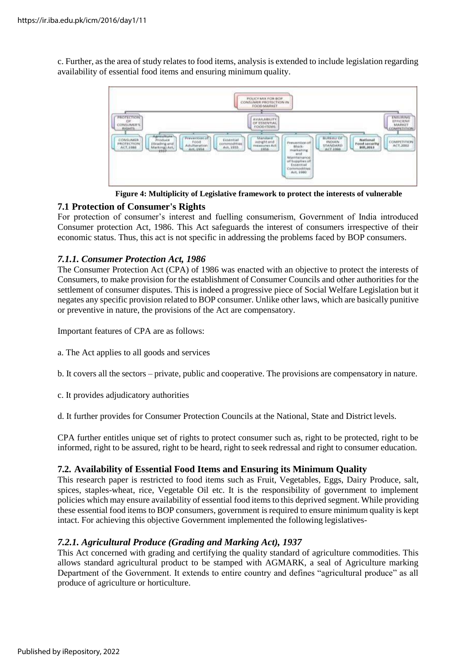c. Further, as the area of study relates to food items, analysis is extended to include legislation regarding availability of essential food items and ensuring minimum quality.



**Figure 4: Multiplicity of Legislative framework to protect the interests of vulnerable**

# **7.1 Protection of Consumer's Rights**

For protection of consumer's interest and fuelling consumerism, Government of India introduced Consumer protection Act, 1986. This Act safeguards the interest of consumers irrespective of their economic status. Thus, this act is not specific in addressing the problems faced by BOP consumers.

# *7.1.1. Consumer Protection Act, 1986*

The Consumer Protection Act (CPA) of 1986 was enacted with an objective to protect the interests of Consumers, to make provision for the establishment of Consumer Councils and other authorities for the settlement of consumer disputes. This is indeed a progressive piece of Social Welfare Legislation but it negates any specific provision related to BOP consumer. Unlike other laws, which are basically punitive or preventive in nature, the provisions of the Act are compensatory.

Important features of CPA are as follows:

- a. The Act applies to all goods and services
- b. It covers all the sectors private, public and cooperative. The provisions are compensatory in nature.
- c. It provides adjudicatory authorities

d. It further provides for Consumer Protection Councils at the National, State and District levels.

CPA further entitles unique set of rights to protect consumer such as, right to be protected, right to be informed, right to be assured, right to be heard, right to seek redressal and right to consumer education.

#### **7.2. Availability of Essential Food Items and Ensuring its Minimum Quality**

This research paper is restricted to food items such as Fruit, Vegetables, Eggs, Dairy Produce, salt, spices, staples-wheat, rice, Vegetable Oil etc. It is the responsibility of government to implement policies which may ensure availability of essential food items to this deprived segment. While providing these essential food items to BOP consumers, government is required to ensure minimum quality is kept intact. For achieving this objective Government implemented the following legislatives-

# *7.2.1. Agricultural Produce (Grading and Marking Act), 1937*

This Act concerned with grading and certifying the quality standard of agriculture commodities. This allows standard agricultural product to be stamped with AGMARK, a seal of Agriculture marking Department of the Government. It extends to entire country and defines "agricultural produce" as all produce of agriculture or horticulture.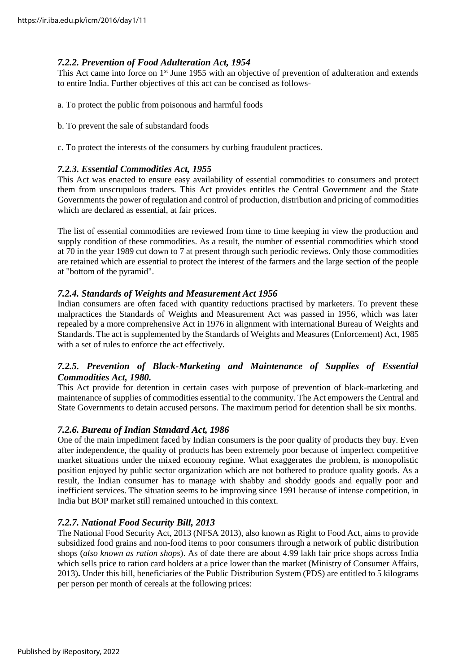# *7.2.2. Prevention of Food Adulteration Act, 1954*

This Act came into force on 1<sup>st</sup> June 1955 with an objective of prevention of adulteration and extends to entire India. Further objectives of this act can be concised as follows-

a. To protect the public from poisonous and harmful foods

- b. To prevent the sale of substandard foods
- c. To protect the interests of the consumers by curbing fraudulent practices.

#### *7.2.3. Essential Commodities Act, 1955*

This Act was enacted to ensure easy availability of essential commodities to consumers and protect them from unscrupulous traders. This Act provides entitles the Central Government and the State Governments the power of regulation and control of production, distribution and pricing of commodities which are declared as essential, at fair prices.

The list of essential commodities are reviewed from time to time keeping in view the production and supply condition of these commodities. As a result, the number of essential commodities which stood at 70 in the year 1989 cut down to 7 at present through such periodic reviews. Only those commodities are retained which are essential to protect the interest of the farmers and the large section of the people at "bottom of the pyramid".

#### *7.2.4. Standards of Weights and Measurement Act 1956*

Indian consumers are often faced with quantity reductions practised by marketers. To prevent these malpractices the Standards of Weights and Measurement Act was passed in 1956, which was later repealed by a more comprehensive Act in 1976 in alignment with international Bureau of Weights and Standards. The act is supplemented by the Standards of Weights and Measures (Enforcement) Act, 1985 with a set of rules to enforce the act effectively.

# *7.2.5. Prevention of Black-Marketing and Maintenance of Supplies of Essential Commodities Act, 1980.*

This Act provide for detention in certain cases with purpose of prevention of black-marketing and maintenance of supplies of commodities essential to the community. The Act empowers the Central and State Governments to detain accused persons. The maximum period for detention shall be six months.

#### *7.2.6. Bureau of Indian Standard Act, 1986*

One of the main impediment faced by Indian consumers is the poor quality of products they buy. Even after independence, the quality of products has been extremely poor because of imperfect competitive market situations under the mixed economy regime. What exaggerates the problem, is monopolistic position enjoyed by public sector organization which are not bothered to produce quality goods. As a result, the Indian consumer has to manage with shabby and shoddy goods and equally poor and inefficient services. The situation seems to be improving since 1991 because of intense competition, in India but BOP market still remained untouched in this context.

#### *7.2.7. National Food Security Bill, 2013*

The National Food Security Act, 2013 (NFSA 2013), also known as Right to Food Act, aims to provide subsidized food grains and non-food items to poor consumers through a network of public distribution shops (*also known as ration shops*). As of date there are about 4.99 lakh fair price shops across India which sells price to ration card holders at a price lower than the market (Ministry of Consumer Affairs, 2013)**.** Under this bill, beneficiaries of the Public Distribution System (PDS) are entitled to 5 kilograms per person per month of cereals at the following prices: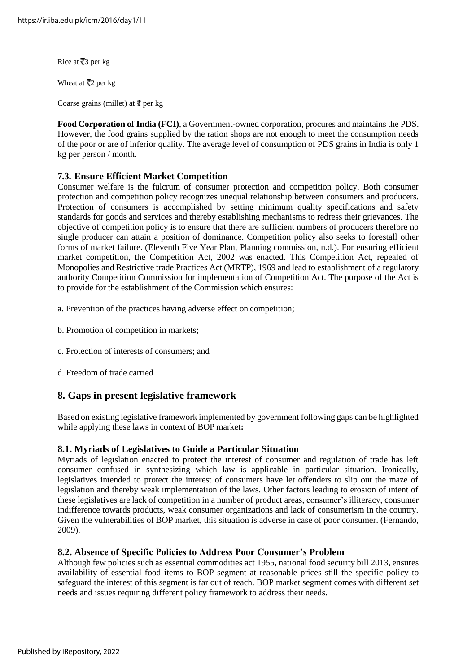Rice at  $\overline{\mathbb{Z}}$ 3 per kg

Wheat at  $\overline{\mathbb{Z}}$  per kg

Coarse grains (millet) at  $\bar{\mathbf{T}}$  per kg

**Food Corporation of India (FCI)**, a Government-owned corporation, procures and maintains the PDS. However, the food grains supplied by the ration shops are not enough to meet the consumption needs of the poor or are of inferior quality. The average level of consumption of PDS grains in India is only 1 kg per person / month.

#### **7.3. Ensure Efficient Market Competition**

Consumer welfare is the fulcrum of consumer protection and competition policy. Both consumer protection and competition policy recognizes unequal relationship between consumers and producers. Protection of consumers is accomplished by setting minimum quality specifications and safety standards for goods and services and thereby establishing mechanisms to redress their grievances. The objective of competition policy is to ensure that there are sufficient numbers of producers therefore no single producer can attain a position of dominance. Competition policy also seeks to forestall other forms of market failure. (Eleventh Five Year Plan, Planning commission, n.d.). For ensuring efficient market competition, the Competition Act, 2002 was enacted. This Competition Act, repealed of Monopolies and Restrictive trade Practices Act (MRTP), 1969 and lead to establishment of a regulatory authority Competition Commission for implementation of Competition Act. The purpose of the Act is to provide for the establishment of the Commission which ensures:

- a. Prevention of the practices having adverse effect on competition;
- b. Promotion of competition in markets;
- c. Protection of interests of consumers; and
- d. Freedom of trade carried

# **8. Gaps in present legislative framework**

Based on existing legislative framework implemented by government following gaps can be highlighted while applying these laws in context of BOP market**:**

#### **8.1. Myriads of Legislatives to Guide a Particular Situation**

Myriads of legislation enacted to protect the interest of consumer and regulation of trade has left consumer confused in synthesizing which law is applicable in particular situation. Ironically, legislatives intended to protect the interest of consumers have let offenders to slip out the maze of legislation and thereby weak implementation of the laws. Other factors leading to erosion of intent of these legislatives are lack of competition in a number of product areas, consumer's illiteracy, consumer indifference towards products, weak consumer organizations and lack of consumerism in the country. Given the vulnerabilities of BOP market, this situation is adverse in case of poor consumer. (Fernando, 2009).

#### **8.2. Absence of Specific Policies to Address Poor Consumer's Problem**

Although few policies such as essential commodities act 1955, national food security bill 2013, ensures availability of essential food items to BOP segment at reasonable prices still the specific policy to safeguard the interest of this segment is far out of reach. BOP market segment comes with different set needs and issues requiring different policy framework to address their needs.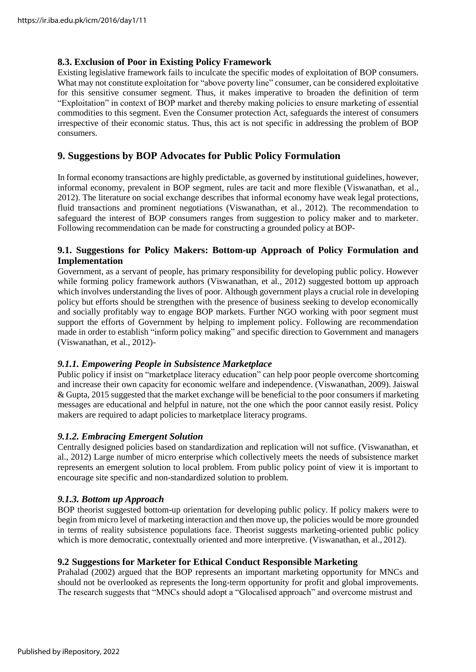# **8.3. Exclusion of Poor in Existing Policy Framework**

Existing legislative framework fails to inculcate the specific modes of exploitation of BOP consumers. What may not constitute exploitation for "above poverty line" consumer, can be considered exploitative for this sensitive consumer segment. Thus, it makes imperative to broaden the definition of term "Exploitation" in context of BOP market and thereby making policies to ensure marketing of essential commodities to this segment. Even the Consumer protection Act, safeguards the interest of consumers irrespective of their economic status. Thus, this act is not specific in addressing the problem of BOP consumers.

# **9. Suggestions by BOP Advocates for Public Policy Formulation**

In formal economy transactions are highly predictable, as governed by institutional guidelines, however, informal economy, prevalent in BOP segment, rules are tacit and more flexible (Viswanathan, et al., 2012). The literature on social exchange describes that informal economy have weak legal protections, fluid transactions and prominent negotiations (Viswanathan, et al., 2012). The recommendation to safeguard the interest of BOP consumers ranges from suggestion to policy maker and to marketer. Following recommendation can be made for constructing a grounded policy at BOP-

## **9.1. Suggestions for Policy Makers: Bottom-up Approach of Policy Formulation and Implementation**

Government, as a servant of people, has primary responsibility for developing public policy. However while forming policy framework authors (Viswanathan, et al., 2012) suggested bottom up approach which involves understanding the lives of poor. Although government plays a crucial role in developing policy but efforts should be strengthen with the presence of business seeking to develop economically and socially profitably way to engage BOP markets. Further NGO working with poor segment must support the efforts of Government by helping to implement policy. Following are recommendation made in order to establish "inform policy making" and specific direction to Government and managers (Viswanathan, et al., 2012)-

#### *9.1.1. Empowering People in Subsistence Marketplace*

Public policy if insist on "marketplace literacy education" can help poor people overcome shortcoming and increase their own capacity for economic welfare and independence. (Viswanathan, 2009). Jaiswal & Gupta, 2015 suggested that the market exchange will be beneficial to the poor consumers if marketing messages are educational and helpful in nature, not the one which the poor cannot easily resist. Policy makers are required to adapt policies to marketplace literacy programs.

#### *9.1.2. Embracing Emergent Solution*

Centrally designed policies based on standardization and replication will not suffice. (Viswanathan, et al., 2012) Large number of micro enterprise which collectively meets the needs of subsistence market represents an emergent solution to local problem. From public policy point of view it is important to encourage site specific and non-standardized solution to problem.

#### *9.1.3. Bottom up Approach*

BOP theorist suggested bottom-up orientation for developing public policy. If policy makers were to begin from micro level of marketing interaction and then move up, the policies would be more grounded in terms of reality subsistence populations face. Theorist suggests marketing-oriented public policy which is more democratic, contextually oriented and more interpretive. (Viswanathan, et al., 2012).

#### **9.2 Suggestions for Marketer for Ethical Conduct Responsible Marketing**

Prahalad (2002) argued that the BOP represents an important marketing opportunity for MNCs and should not be overlooked as represents the long-term opportunity for profit and global improvements. The research suggests that "MNCs should adopt a "Glocalised approach" and overcome mistrust and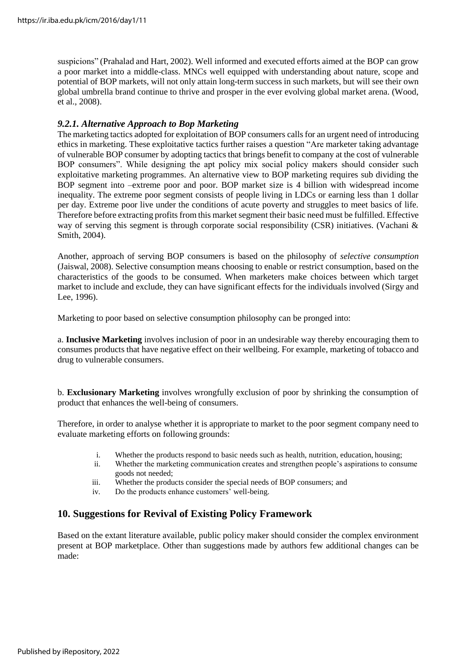suspicions" (Prahalad and Hart, 2002). Well informed and executed efforts aimed at the BOP can grow a poor market into a middle-class. MNCs well equipped with understanding about nature, scope and potential of BOP markets, will not only attain long-term success in such markets, but will see their own global umbrella brand continue to thrive and prosper in the ever evolving global market arena. (Wood, et al., 2008).

## *9.2.1. Alternative Approach to Bop Marketing*

The marketing tactics adopted for exploitation of BOP consumers callsfor an urgent need of introducing ethics in marketing. These exploitative tactics further raises a question "Are marketer taking advantage of vulnerable BOP consumer by adopting tactics that brings benefit to company at the cost of vulnerable BOP consumers". While designing the apt policy mix social policy makers should consider such exploitative marketing programmes. An alternative view to BOP marketing requires sub dividing the BOP segment into –extreme poor and poor. BOP market size is 4 billion with widespread income inequality. The extreme poor segment consists of people living in LDCs or earning less than 1 dollar per day. Extreme poor live under the conditions of acute poverty and struggles to meet basics of life. Therefore before extracting profits from this market segment their basic need must be fulfilled. Effective way of serving this segment is through corporate social responsibility (CSR) initiatives. (Vachani & Smith, 2004).

Another, approach of serving BOP consumers is based on the philosophy of *selective consumption*  (Jaiswal, 2008). Selective consumption means choosing to enable or restrict consumption, based on the characteristics of the goods to be consumed. When marketers make choices between which target market to include and exclude, they can have significant effects for the individuals involved (Sirgy and Lee, 1996).

Marketing to poor based on selective consumption philosophy can be pronged into:

a. **Inclusive Marketing** involves inclusion of poor in an undesirable way thereby encouraging them to consumes products that have negative effect on their wellbeing. For example, marketing of tobacco and drug to vulnerable consumers.

b. **Exclusionary Marketing** involves wrongfully exclusion of poor by shrinking the consumption of product that enhances the well-being of consumers.

Therefore, in order to analyse whether it is appropriate to market to the poor segment company need to evaluate marketing efforts on following grounds:

- i. Whether the products respond to basic needs such as health, nutrition, education, housing;
- ii. Whether the marketing communication creates and strengthen people's aspirations to consume goods not needed;
- iii. Whether the products consider the special needs of BOP consumers; and
- iv. Do the products enhance customers' well-being.

# **10. Suggestions for Revival of Existing Policy Framework**

Based on the extant literature available, public policy maker should consider the complex environment present at BOP marketplace. Other than suggestions made by authors few additional changes can be made: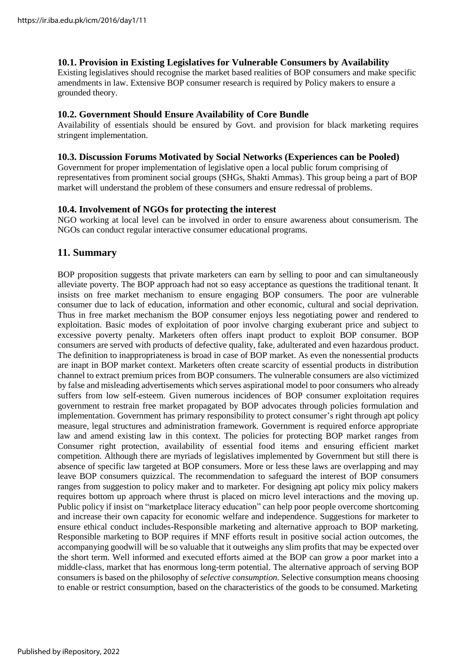#### **10.1. Provision in Existing Legislatives for Vulnerable Consumers by Availability**

Existing legislatives should recognise the market based realities of BOP consumers and make specific amendments in law. Extensive BOP consumer research is required by Policy makers to ensure a grounded theory.

#### **10.2. Government Should Ensure Availability of Core Bundle**

Availability of essentials should be ensured by Govt. and provision for black marketing requires stringent implementation.

#### **10.3. Discussion Forums Motivated by Social Networks (Experiences can be Pooled)**

Government for proper implementation of legislative open a local public forum comprising of representatives from prominent social groups (SHGs, Shakti Ammas). This group being a part of BOP market will understand the problem of these consumers and ensure redressal of problems.

#### **10.4. Involvement of NGOs for protecting the interest**

NGO working at local level can be involved in order to ensure awareness about consumerism. The NGOs can conduct regular interactive consumer educational programs.

# **11. Summary**

BOP proposition suggests that private marketers can earn by selling to poor and can simultaneously alleviate poverty. The BOP approach had not so easy acceptance as questions the traditional tenant. It insists on free market mechanism to ensure engaging BOP consumers. The poor are vulnerable consumer due to lack of education, information and other economic, cultural and social deprivation. Thus in free market mechanism the BOP consumer enjoys less negotiating power and rendered to exploitation. Basic modes of exploitation of poor involve charging exuberant price and subject to excessive poverty penalty. Marketers often offers inapt product to exploit BOP consumer. BOP consumers are served with products of defective quality, fake, adulterated and even hazardous product. The definition to inappropriateness is broad in case of BOP market. As even the nonessential products are inapt in BOP market context. Marketers often create scarcity of essential products in distribution channel to extract premium prices from BOP consumers. The vulnerable consumers are also victimized by false and misleading advertisements which serves aspirational model to poor consumers who already suffers from low self-esteem. Given numerous incidences of BOP consumer exploitation requires government to restrain free market propagated by BOP advocates through policies formulation and implementation. Government has primary responsibility to protect consumer's right through apt policy measure, legal structures and administration framework. Government is required enforce appropriate law and amend existing law in this context. The policies for protecting BOP market ranges from Consumer right protection, availability of essential food items and ensuring efficient market competition. Although there are myriads of legislatives implemented by Government but still there is absence of specific law targeted at BOP consumers. More or less these laws are overlapping and may leave BOP consumers quizzical. The recommendation to safeguard the interest of BOP consumers ranges from suggestion to policy maker and to marketer. For designing apt policy mix policy makers requires bottom up approach where thrust is placed on micro level interactions and the moving up. Public policy if insist on "marketplace literacy education" can help poor people overcome shortcoming and increase their own capacity for economic welfare and independence. Suggestions for marketer to ensure ethical conduct includes-Responsible marketing and alternative approach to BOP marketing. Responsible marketing to BOP requires if MNF efforts result in positive social action outcomes, the accompanying goodwill will be so valuable that it outweighs any slim profits that may be expected over the short term. Well informed and executed efforts aimed at the BOP can grow a poor market into a middle-class, market that has enormous long-term potential. The alternative approach of serving BOP consumers is based on the philosophy of *selective consumption.* Selective consumption means choosing to enable or restrict consumption, based on the characteristics of the goods to be consumed. Marketing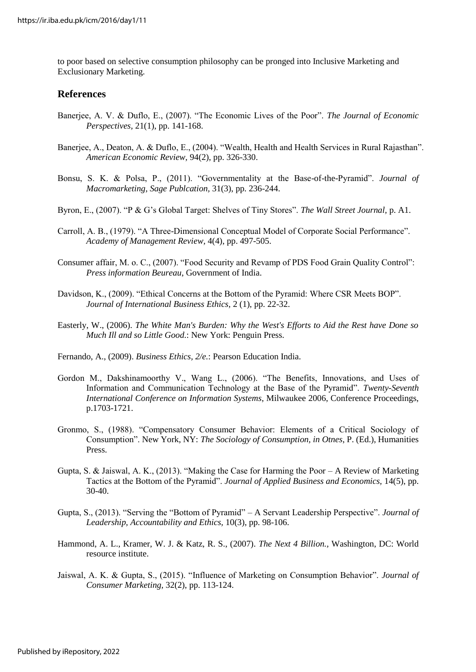to poor based on selective consumption philosophy can be pronged into Inclusive Marketing and Exclusionary Marketing.

#### **References**

- Banerjee, A. V. & Duflo, E., (2007). "The Economic Lives of the Poor". *The Journal of Economic Perspectives,* 21(1), pp. 141-168.
- Banerjee, A., Deaton, A. & Duflo, E., (2004). "Wealth, Health and Health Services in Rural Rajasthan". *American Economic Review,* 94(2), pp. 326-330.
- Bonsu, S. K. & Polsa, P., (2011). "Governmentality at the Base-of-the-Pyramid". *Journal of Macromarketing, Sage Publcation,* 31(3), pp. 236-244.
- Byron, E., (2007). "P & G's Global Target: Shelves of Tiny Stores". *The Wall Street Journal,* p. A1.
- Carroll, A. B., (1979). "A Three-Dimensional Conceptual Model of Corporate Social Performance". *Academy of Management Review,* 4(4), pp. 497-505.
- Consumer affair, M. o. C., (2007). "Food Security and Revamp of PDS Food Grain Quality Control": *Press information Beureau*, Government of India.
- Davidson, K., (2009). "Ethical Concerns at the Bottom of the Pyramid: Where CSR Meets BOP". *Journal of International Business Ethics,* 2 (1), pp. 22-32.
- Easterly, W., (2006). *The White Man's Burden: Why the West's Efforts to Aid the Rest have Done so Much Ill and so Little Good*.: New York: Penguin Press.
- Fernando, A., (2009). *Business Ethics, 2/e.*: Pearson Education India.
- Gordon M., Dakshinamoorthy V., Wang L., (2006). "The Benefits, Innovations, and Uses of Information and Communication Technology at the Base of the Pyramid". *Twenty-Seventh International Conference on Information Systems*, Milwaukee 2006, Conference Proceedings, p.1703-1721.
- Gronmo, S., (1988). "Compensatory Consumer Behavior: Elements of a Critical Sociology of Consumption". New York, NY: *The Sociology of Consumption, in Otnes*, P. (Ed.), Humanities Press.
- Gupta, S. & Jaiswal, A. K., (2013). "Making the Case for Harming the Poor A Review of Marketing Tactics at the Bottom of the Pyramid". *Journal of Applied Business and Economics,* 14(5), pp. 30-40.
- Gupta, S., (2013). "Serving the "Bottom of Pyramid" A Servant Leadership Perspective". *Journal of Leadership, Accountability and Ethics,* 10(3), pp. 98-106.
- Hammond, A. L., Kramer, W. J. & Katz, R. S., (2007). *The Next 4 Billion.,* Washington, DC: World resource institute.
- Jaiswal, A. K. & Gupta, S., (2015). "Influence of Marketing on Consumption Behavior". *Journal of Consumer Marketing,* 32(2), pp. 113-124.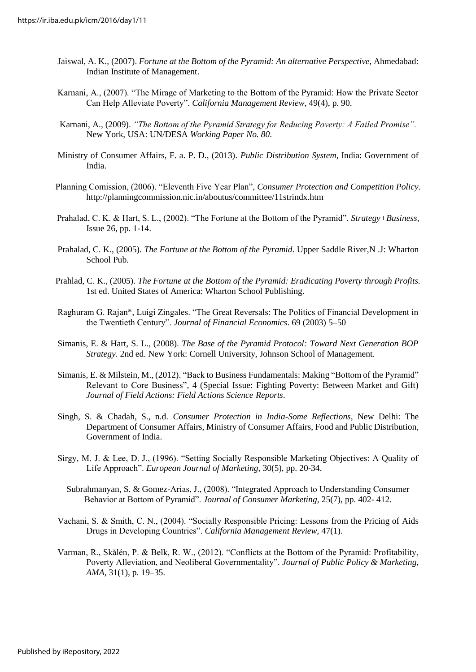- Jaiswal, A. K., (2007). *Fortune at the Bottom of the Pyramid: An alternative Perspective,* Ahmedabad: Indian Institute of Management.
- Karnani, A., (2007). "The Mirage of Marketing to the Bottom of the Pyramid: How the Private Sector Can Help Alleviate Poverty". *California Management Review,* 49(4), p. 90.
- Karnani, A., (2009). *"The Bottom of the Pyramid Strategy for Reducing Poverty: A Failed Promise".* New York, USA: UN/DESA *Working Paper No. 80*.
- Ministry of Consumer Affairs, F. a. P. D., (2013). *Public Distribution System,* India: Government of India.
- Planning Comission, (2006). "Eleventh Five Year Plan", *Consumer Protection and Competition Policy.* <http://planningcommission.nic.in/aboutus/committee/11strindx.htm>
- Prahalad, C. K. & Hart, S. L., (2002). "The Fortune at the Bottom of the Pyramid". *Strategy+Business,* Issue 26, pp. 1-14.
- Prahalad, C. K., (2005). *The Fortune at the Bottom of the Pyramid*. Upper Saddle River, N .J: Wharton School Pub*.*
- Prahlad, C. K., (2005). *The Fortune at the Bottom of the Pyramid: Eradicating Poverty through Profits.* 1st ed. United States of America: Wharton School Publishing.
- Raghuram G. Rajan\*, Luigi Zingales. "The Great Reversals: The Politics of Financial Development in the Twentieth Century". *Journal of Financial Economics*. 69 (2003) 5–50
- Simanis, E. & Hart, S. L., (2008). *The Base of the Pyramid Protocol: Toward Next Generation BOP Strategy.* 2nd ed. New York: Cornell University, Johnson School of Management.
- Simanis, E. & Milstein, M., (2012). "Back to Business Fundamentals: Making "Bottom of the Pyramid" Relevant to Core Business"*,* 4 (Special Issue: Fighting Poverty: Between Market and Gift) *Journal of Field Actions: Field Actions Science Reports*.
- Singh, S. & Chadah, S., n.d. *Consumer Protection in India-Some Reflections,* New Delhi: The Department of Consumer Affairs, Ministry of Consumer Affairs, Food and Public Distribution, Government of India.
- Sirgy, M. J. & Lee, D. J., (1996). "Setting Socially Responsible Marketing Objectives: A Quality of Life Approach". *European Journal of Marketing,* 30(5), pp. 20-34.
	- Subrahmanyan, S. & Gomez-Arias, J., (2008). "Integrated Approach to Understanding Consumer Behavior at Bottom of Pyramid". *Journal of Consumer Marketing,* 25(7), pp. 402- 412.
- Vachani, S. & Smith, C. N., (2004). "Socially Responsible Pricing: Lessons from the Pricing of Aids Drugs in Developing Countries". *California Management Review,* 47(1).
- Varman, R., Skålén, P. & Belk, R. W., (2012). "Conflicts at the Bottom of the Pyramid: Profitability, Poverty Alleviation, and Neoliberal Governmentality". *Journal of Public Policy & Marketing, AMA,* 31(1), p. 19–35.